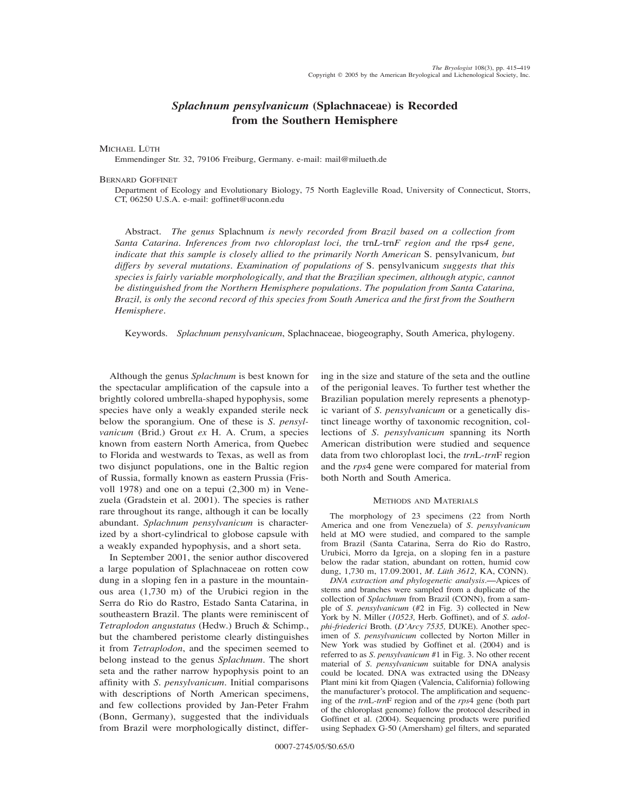# *Splachnum pensylvanicum* **(Splachnaceae) is Recorded from the Southern Hemisphere**

## MICHAEL LÜTH

Emmendinger Str. 32, 79106 Freiburg, Germany. e-mail: mail@milueth.de

### BERNARD GOFFINET

Department of Ecology and Evolutionary Biology, 75 North Eagleville Road, University of Connecticut, Storrs, CT, 06250 U.S.A. e-mail: goffinet@uconn.edu

Abstract. *The genus* Splachnum *is newly recorded from Brazil based on a collection from Santa Catarina. Inferences from two chloroplast loci, the* trn*L-*trn*F region and the* rps*4 gene, indicate that this sample is closely allied to the primarily North American* S. pensylvanicum*, but differs by several mutations. Examination of populations of* S. pensylvanicum *suggests that this species is fairly variable morphologically, and that the Brazilian specimen, although atypic, cannot be distinguished from the Northern Hemisphere populations. The population from Santa Catarina,* Brazil, is only the second record of this species from South America and the first from the Southern *Hemisphere.*

Keywords. *Splachnum pensylvanicum*, Splachnaceae, biogeography, South America, phylogeny.

Although the genus *Splachnum* is best known for the spectacular amplification of the capsule into a brightly colored umbrella-shaped hypophysis, some species have only a weakly expanded sterile neck below the sporangium. One of these is *S. pensylvanicum* (Brid.) Grout *ex* H. A. Crum, a species known from eastern North America, from Quebec to Florida and westwards to Texas, as well as from two disjunct populations, one in the Baltic region of Russia, formally known as eastern Prussia (Frisvoll 1978) and one on a tepui (2,300 m) in Venezuela (Gradstein et al. 2001). The species is rather rare throughout its range, although it can be locally abundant. *Splachnum pensylvanicum* is characterized by a short-cylindrical to globose capsule with a weakly expanded hypophysis, and a short seta.

In September 2001, the senior author discovered a large population of Splachnaceae on rotten cow dung in a sloping fen in a pasture in the mountainous area (1,730 m) of the Urubici region in the Serra do Rio do Rastro, Estado Santa Catarina, in southeastern Brazil. The plants were reminiscent of *Tetraplodon angustatus* (Hedw.) Bruch & Schimp., but the chambered peristome clearly distinguishes it from *Tetraplodon*, and the specimen seemed to belong instead to the genus *Splachnum*. The short seta and the rather narrow hypophysis point to an affinity with *S. pensylvanicum*. Initial comparisons with descriptions of North American specimens, and few collections provided by Jan-Peter Frahm (Bonn, Germany), suggested that the individuals from Brazil were morphologically distinct, differing in the size and stature of the seta and the outline of the perigonial leaves. To further test whether the Brazilian population merely represents a phenotypic variant of *S. pensylvanicum* or a genetically distinct lineage worthy of taxonomic recognition, collections of *S. pensylvanicum* spanning its North American distribution were studied and sequence data from two chloroplast loci, the *trn*L-*trn*F region and the *rps*4 gene were compared for material from both North and South America.

## METHODS AND MATERIALS

The morphology of 23 specimens (22 from North America and one from Venezuela) of *S. pensylvanicum* held at MO were studied, and compared to the sample from Brazil (Santa Catarina, Serra do Rio do Rastro, Urubici, Morro da Igreja, on a sloping fen in a pasture below the radar station, abundant on rotten, humid cow dung, 1,730 m, 17.09.2001, *M. Lüth 3612*, KA, CONN).

*DNA extraction and phylogenetic analysis.* Apices of stems and branches were sampled from a duplicate of the collection of *Splachnum* from Brazil (CONN), from a sample of *S. pensylvanicum* (#2 in Fig. 3) collected in New York by N. Miller (*10523,* Herb. Goffinet), and of *S. adolphi*-*friederici* Broth. (*D'Arcy 7535,* DUKE). Another specimen of *S. pensylvanicum* collected by Norton Miller in New York was studied by Goffinet et al. (2004) and is referred to as *S. pensylvanicum* #1 in Fig. 3. No other recent material of *S. pensylvanicum* suitable for DNA analysis could be located. DNA was extracted using the DNeasy Plant mini kit from Qiagen (Valencia, California) following the manufacturer's protocol. The amplification and sequencing of the *trn*L-*trn*F region and of the *rps*4 gene (both part of the chloroplast genome) follow the protocol described in Goffinet et al. (2004). Sequencing products were purified using Sephadex G-50 (Amersham) gel filters, and separated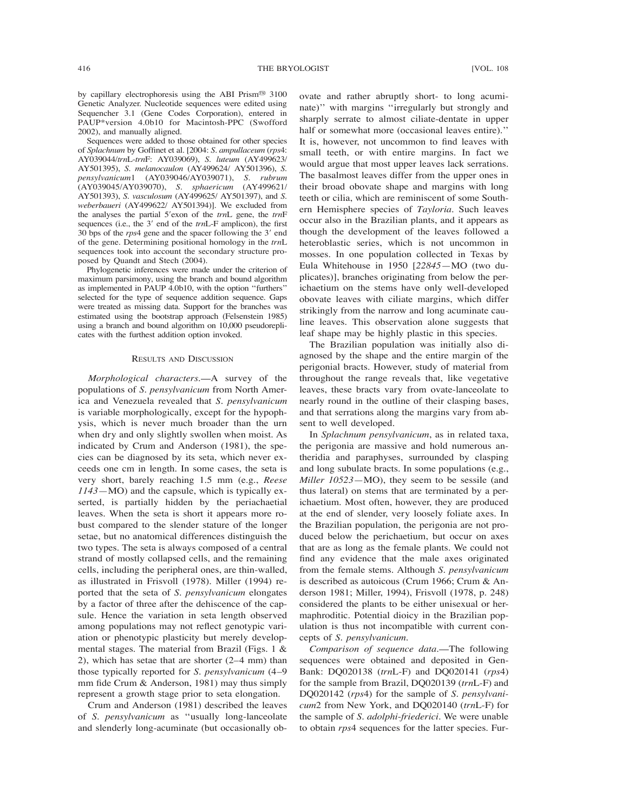by capillary electrophoresis using the ABI Prism<sup> $\text{m}$ </sup> 3100 Genetic Analyzer. Nucleotide sequences were edited using Sequencher 3.1 (Gene Codes Corporation), entered in PAUP\*version 4.0b10 for Macintosh-PPC (Swofford 2002), and manually aligned.

Sequences were added to those obtained for other species of *Splachnum* by Goffinet et al. [2004: *S. ampullaceum* (*rps*4: AY039044/*trn*L-*trn*F: AY039069), *S. luteum* (AY499623/ AY501395), *S. melanocaulon* (AY499624/ AY501396), *S. pensylvanicum*1 (AY039046/AY039071), *S. rubrum* (AY039045/AY039070), *S. sphaericum* (AY499621/ AY501393), *S. vasculosum* (AY499625/ AY501397), and *S. weberbaueri* (AY499622/ AY501394)]. We excluded from the analyses the partial 5'exon of the *trn*L gene, the *trn*F sequences (i.e., the 3' end of the *trn*L-F amplicon), the first 30 bps of the *rps*4 gene and the spacer following the 3' end of the gene. Determining positional homology in the *trn*L sequences took into account the secondary structure proposed by Quandt and Stech (2004).

Phylogenetic inferences were made under the criterion of maximum parsimony, using the branch and bound algorithm as implemented in PAUP 4.0b10, with the option ''furthers'' selected for the type of sequence addition sequence. Gaps were treated as missing data. Support for the branches was estimated using the bootstrap approach (Felsenstein 1985) using a branch and bound algorithm on 10,000 pseudoreplicates with the furthest addition option invoked.

#### RESULTS AND DISCUSSION

*Morphological characters.*—A survey of the populations of *S. pensylvanicum* from North America and Venezuela revealed that *S. pensylvanicum* is variable morphologically, except for the hypophysis, which is never much broader than the urn when dry and only slightly swollen when moist. As indicated by Crum and Anderson (1981), the species can be diagnosed by its seta, which never exceeds one cm in length. In some cases, the seta is very short, barely reaching 1.5 mm (e.g., *Reese 1143*—MO) and the capsule, which is typically exserted, is partially hidden by the periachaetial leaves. When the seta is short it appears more robust compared to the slender stature of the longer setae, but no anatomical differences distinguish the two types. The seta is always composed of a central strand of mostly collapsed cells, and the remaining cells, including the peripheral ones, are thin-walled, as illustrated in Frisvoll (1978). Miller (1994) reported that the seta of *S. pensylvanicum* elongates by a factor of three after the dehiscence of the capsule. Hence the variation in seta length observed among populations may not reflect genotypic variation or phenotypic plasticity but merely developmental stages. The material from Brazil (Figs. 1 & 2), which has setae that are shorter (2–4 mm) than those typically reported for *S. pensylvanicum* (4–9 mm fide Crum & Anderson, 1981) may thus simply represent a growth stage prior to seta elongation.

Crum and Anderson (1981) described the leaves of *S. pensylvanicum* as ''usually long-lanceolate and slenderly long-acuminate (but occasionally obovate and rather abruptly short- to long acuminate)'' with margins ''irregularly but strongly and sharply serrate to almost ciliate-dentate in upper half or somewhat more (occasional leaves entire).'' It is, however, not uncommon to find leaves with small teeth, or with entire margins. In fact we would argue that most upper leaves lack serrations. The basalmost leaves differ from the upper ones in their broad obovate shape and margins with long teeth or cilia, which are reminiscent of some Southern Hemisphere species of *Tayloria*. Such leaves occur also in the Brazilian plants, and it appears as though the development of the leaves followed a heteroblastic series, which is not uncommon in mosses. In one population collected in Texas by Eula Whitehouse in 1950 [*22845*—MO (two duplicates)], branches originating from below the perichaetium on the stems have only well-developed obovate leaves with ciliate margins, which differ strikingly from the narrow and long acuminate cauline leaves. This observation alone suggests that leaf shape may be highly plastic in this species.

The Brazilian population was initially also diagnosed by the shape and the entire margin of the perigonial bracts. However, study of material from throughout the range reveals that, like vegetative leaves, these bracts vary from ovate-lanceolate to nearly round in the outline of their clasping bases, and that serrations along the margins vary from absent to well developed.

In *Splachnum pensylvanicum*, as in related taxa, the perigonia are massive and hold numerous antheridia and paraphyses, surrounded by clasping and long subulate bracts. In some populations (e.g., *Miller 10523*—MO), they seem to be sessile (and thus lateral) on stems that are terminated by a perichaetium. Most often, however, they are produced at the end of slender, very loosely foliate axes. In the Brazilian population, the perigonia are not produced below the perichaetium, but occur on axes that are as long as the female plants. We could not find any evidence that the male axes originated from the female stems. Although *S. pensylvanicum* is described as autoicous (Crum 1966; Crum & Anderson 1981; Miller, 1994), Frisvoll (1978, p. 248) considered the plants to be either unisexual or hermaphroditic. Potential dioicy in the Brazilian population is thus not incompatible with current concepts of *S. pensylvanicum*.

*Comparison of sequence data.* The following sequences were obtained and deposited in Gen-Bank: DQ020138 (*trn*L-F) and DQ020141 (*rps*4) for the sample from Brazil, DQ020139 (*trn*L-F) and DQ020142 (*rps*4) for the sample of *S. pensylvanicum*2 from New York, and DQ020140 (*trn*L-F) for the sample of *S. adolphi*-*friederici*. We were unable to obtain *rps*4 sequences for the latter species. Fur-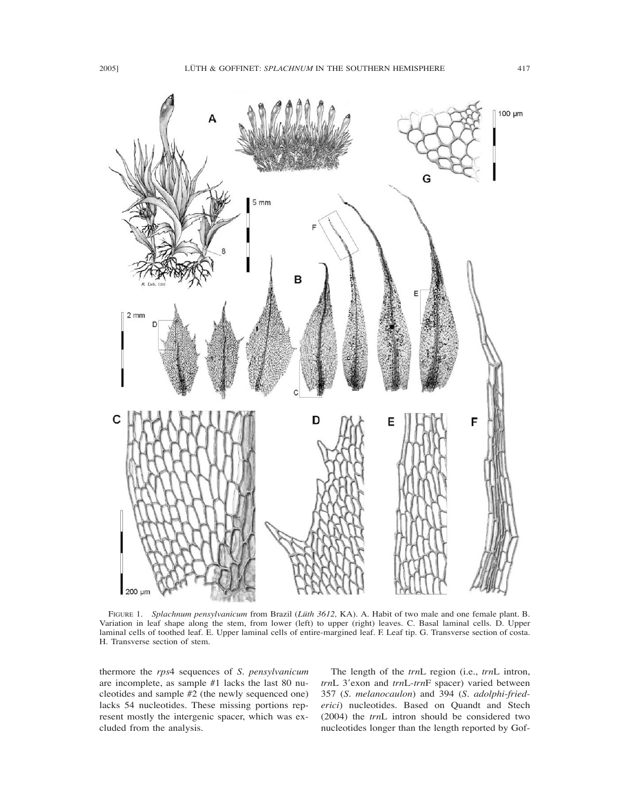

FIGURE 1. *Splachnum pensylvanicum* from Brazil (*Luth* 3612, KA). A. Habit of two male and one female plant. B. Variation in leaf shape along the stem, from lower (left) to upper (right) leaves. C. Basal laminal cells. D. Upper laminal cells of toothed leaf. E. Upper laminal cells of entire-margined leaf. F. Leaf tip. G. Transverse section of costa. H. Transverse section of stem.

thermore the *rps*4 sequences of *S. pensylvanicum* are incomplete, as sample #1 lacks the last 80 nucleotides and sample #2 (the newly sequenced one) lacks 54 nucleotides. These missing portions represent mostly the intergenic spacer, which was excluded from the analysis.

The length of the *trn*L region (i.e., *trn*L intron, *trnL* 3'exon and *trnL-trnF* spacer) varied between 357 (*S. melanocaulon*) and 394 (*S. adolphi*-*friederici*) nucleotides. Based on Quandt and Stech (2004) the *trn*L intron should be considered two nucleotides longer than the length reported by Gof-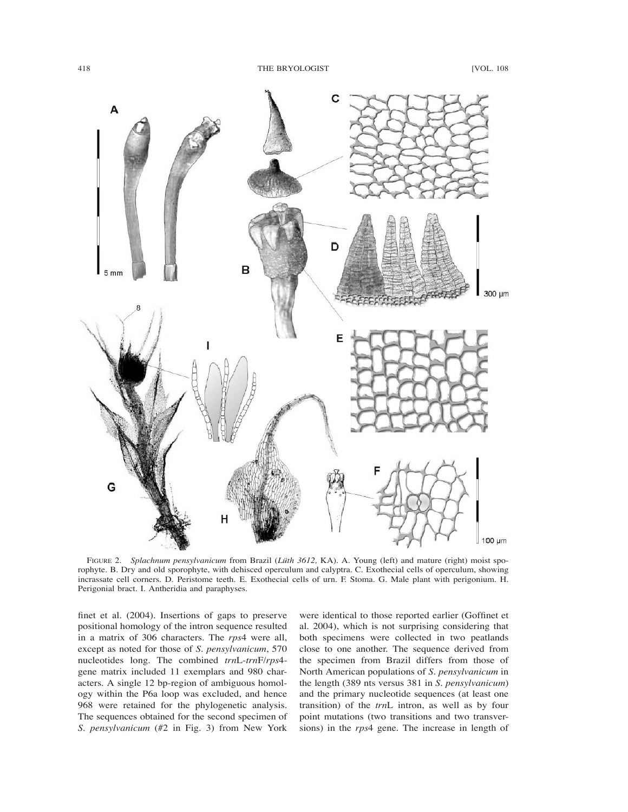

FIGURE 2. *Splachnum pensylvanicum* from Brazil (*Luth* 3612, KA). A. Young (left) and mature (right) moist sporophyte. B. Dry and old sporophyte, with dehisced operculum and calyptra. C. Exothecial cells of operculum, showing incrassate cell corners. D. Peristome teeth. E. Exothecial cells of urn. F. Stoma. G. Male plant with perigonium. H. Perigonial bract. I. Antheridia and paraphyses.

finet et al. (2004). Insertions of gaps to preserve positional homology of the intron sequence resulted in a matrix of 306 characters. The *rps*4 were all, except as noted for those of *S. pensylvanicum*, 570 nucleotides long. The combined *trn*L-*trn*F/*rps*4 gene matrix included 11 exemplars and 980 characters. A single 12 bp-region of ambiguous homology within the P6a loop was excluded, and hence 968 were retained for the phylogenetic analysis. The sequences obtained for the second specimen of *S. pensylvanicum* (#2 in Fig. 3) from New York

were identical to those reported earlier (Goffinet et al. 2004), which is not surprising considering that both specimens were collected in two peatlands close to one another. The sequence derived from the specimen from Brazil differs from those of North American populations of *S. pensylvanicum* in the length (389 nts versus 381 in *S. pensylvanicum*) and the primary nucleotide sequences (at least one transition) of the *trn*L intron, as well as by four point mutations (two transitions and two transversions) in the *rps*4 gene. The increase in length of